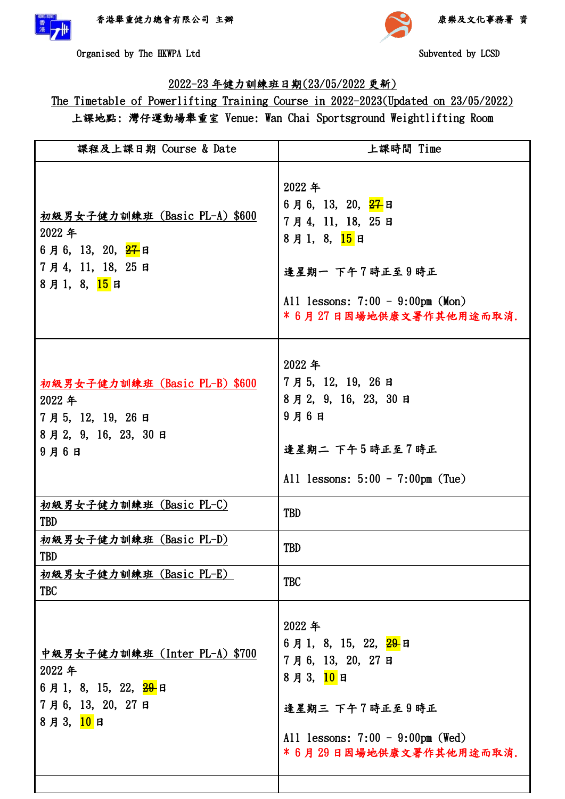

助



Organised by The HKWPA Ltd Subvented by LCSD

## 2022-23 年健力訓練班日期(23/05/2022 更新)

The Timetable of Powerlifting Training Course in 2022-2023(Updated on 23/05/2022) 上課地點: 灣仔運動場舉重室 Venue: Wan Chai Sportsground Weightlifting Room

| 課程及上課日期 Course & Date                                                                                                   | 上課時間 Time                                                                                                                                                            |
|-------------------------------------------------------------------------------------------------------------------------|----------------------------------------------------------------------------------------------------------------------------------------------------------------------|
| 初級男女子健力訓練班(Basic PL-A)\$600<br>2022年<br>6月6, 13, 20, <mark>27</mark> 日<br>7月4, 11, 18, 25日<br>8月1, 8, <mark>15</mark> 日 | 2022年<br>6月6, 13, 20, <mark>27</mark> 日<br>7月4, 11, 18, 25日<br>8月1, 8, 15日<br>逢星期一 下午7時正至9時正<br>All lessons: $7:00 - 9:00 \text{pm}$ (Mon)<br>*6月27日因場地供康文署作其他用途而取消. |
| 初級男女子健力訓練班 (Basic PL-B) \$600<br>2022年<br>7月5, 12, 19, 26日<br>8月2, 9, 16, 23, 30日<br>$9$ 月6日                            | 2022年<br>7月5, 12, 19, 26日<br>8月2, 9, 16, 23, 30日<br>$9$ 月6日<br>逢星期二 下午5時正至7時正<br>All lessons: $5:00 - 7:00$ pm (Tue)                                                 |
| 初級男女子健力訓練班 (Basic PL-C)<br><b>TBD</b>                                                                                   | <b>TBD</b>                                                                                                                                                           |
| 初級男女子健力訓練班 (Basic PL-D)<br>TBD                                                                                          | <b>TBD</b>                                                                                                                                                           |
| 初級男女子健力訓練班 (Basic PL-E)<br><b>TBC</b>                                                                                   | <b>TBC</b>                                                                                                                                                           |
| 中級男女子健力訓練班 (Inter PL-A) \$700<br>2022年<br>6月1, 8, 15, 22, 29日<br>7月6, 13, 20, 27日<br>8月3,10日                            | 2022年<br>6月1, 8, 15, 22, <mark>29-</mark> 日<br>7月6,13,20,27日<br>8月3,10日<br>逢星期三 下午7時正至9時正<br>All lessons: $7:00 - 9:00$ pm (Wed)<br>*6月29日因場地供康文署作其他用途而取消.           |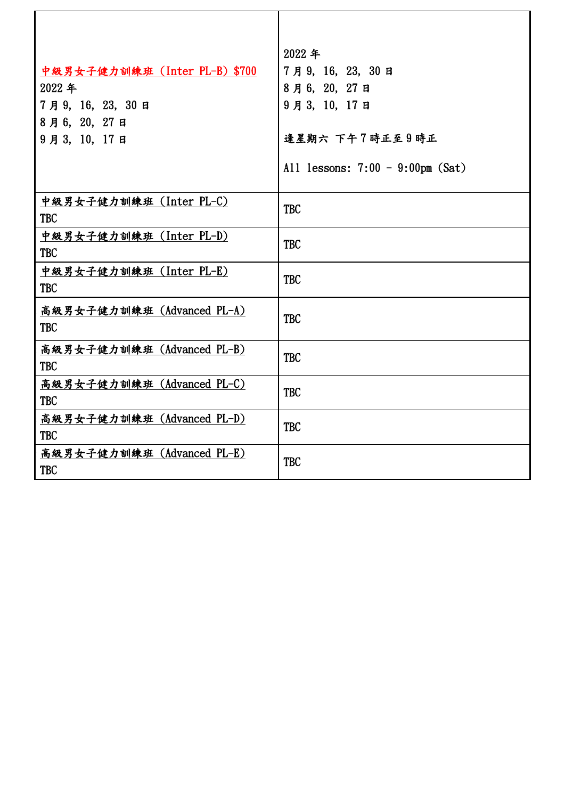|                               | 2022年                               |
|-------------------------------|-------------------------------------|
| 中級男女子健力訓練班 (Inter PL-B) \$700 | 7月9,16,23,30日                       |
| 2022年                         | 8月6, 20, 27日                        |
| 7月9,16,23,30日                 | 9月3, 10, 17日                        |
| 8月6, 20, 27日                  |                                     |
| 9月3, 10, 17日                  | 逢星期六 下午7時正至9時正                      |
|                               | All lessons: $7:00 - 9:00$ pm (Sat) |
| 中級男女子健力訓練班 (Inter PL-C)       | <b>TBC</b>                          |
| <b>TBC</b>                    |                                     |
| 中級男女子健力訓練班 (Inter PL-D)       | <b>TBC</b>                          |
| <b>TBC</b>                    |                                     |
| 中級男女子健力訓練班 (Inter PL-E)       | <b>TBC</b>                          |
| <b>TBC</b>                    |                                     |
| 高級男女子健力訓練班 (Advanced PL-A)    | <b>TBC</b>                          |
| <b>TBC</b>                    |                                     |
| 高級男女子健力訓練班 (Advanced PL-B)    | <b>TBC</b>                          |
| <b>TBC</b>                    |                                     |
| 高級男女子健力訓練班 (Advanced PL-C)    | <b>TBC</b>                          |
| <b>TBC</b>                    |                                     |
| 高級男女子健力訓練班 (Advanced PL-D)    | <b>TBC</b>                          |
| <b>TBC</b>                    |                                     |
| 高級男女子健力訓練班 (Advanced PL-E)    | <b>TBC</b>                          |
| <b>TBC</b>                    |                                     |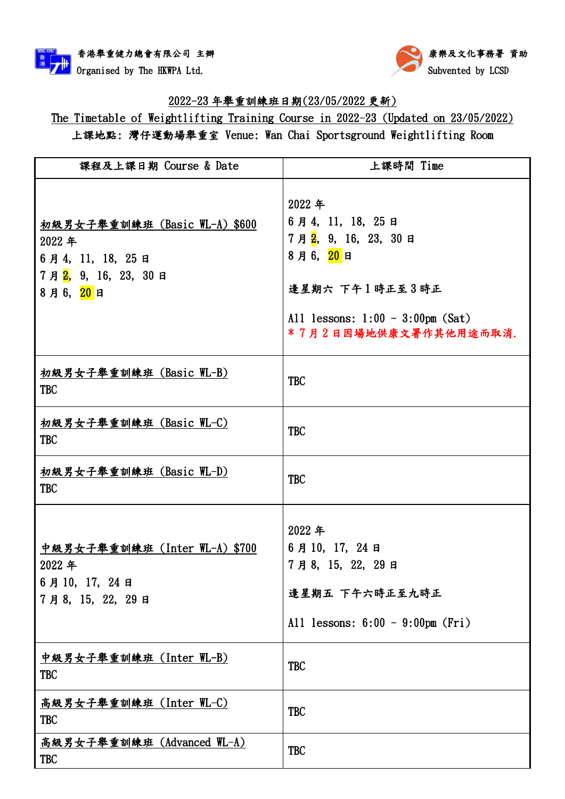



## 2022-23 年舉重訓練班日期(23/05/2022 更新)

The Timetable of Weightlifting Training Course in 2022-23 (Updated on 23/05/2022) 上課地點: 灣仔運動場舉重室 Venue: Wan Chai Sportsground Weightlifting Room

| 課程及上課日期 Course & Date                                                                                        | 上課時間 Time                                                                                                                                                       |
|--------------------------------------------------------------------------------------------------------------|-----------------------------------------------------------------------------------------------------------------------------------------------------------------|
| 初級男女子舉重訓練班 (Basic WL-A) \$600<br>2022年<br>6月4, 11, 18, 25日<br>7月 <mark>2</mark> , 9, 16, 23, 30日<br>8月6, 20日 | 2022年<br>6月4, 11, 18, 25日<br>7月 <mark>2</mark> , 9, 16, 23, 30日<br>8月6, 20日<br>逢星期六 下午1時正至3時正<br>All lessons: $1:00 - 3:00$ pm $(Sat)$<br>*7月2日因場地供康文署作其他用途而取消. |
| 初級男女子舉重訓練班(Basic WL-B)<br><b>TBC</b>                                                                         | <b>TBC</b>                                                                                                                                                      |
| 初級男女子舉重訓練班 (Basic WL-C)<br><b>TBC</b>                                                                        | <b>TBC</b>                                                                                                                                                      |
| 初級男女子舉重訓練班 (Basic WL-D)<br><b>TBC</b>                                                                        | <b>TBC</b>                                                                                                                                                      |
| 中級男女子舉重訓練班 (Inter WL-A) \$700<br>2022年<br>6月10, 17, 24日<br>7月8, 15, 22, 29日                                  | 2022年<br>6月10, 17, 24日<br>7月8, 15, 22, 29日<br>逢星期五 下午六時正至九時正<br>All lessons: $6:00 - 9:00$ pm (Fri)                                                             |
| <u>中級男女子舉重訓練班(Inter WL-B)</u><br><b>TBC</b>                                                                  | <b>TBC</b>                                                                                                                                                      |
| 高級男女子舉重訓練班 (Inter WL-C)<br><b>TBC</b>                                                                        | <b>TBC</b>                                                                                                                                                      |
| 高級男女子舉重訓練班 (Advanced WL-A)<br><b>TBC</b>                                                                     | <b>TBC</b>                                                                                                                                                      |